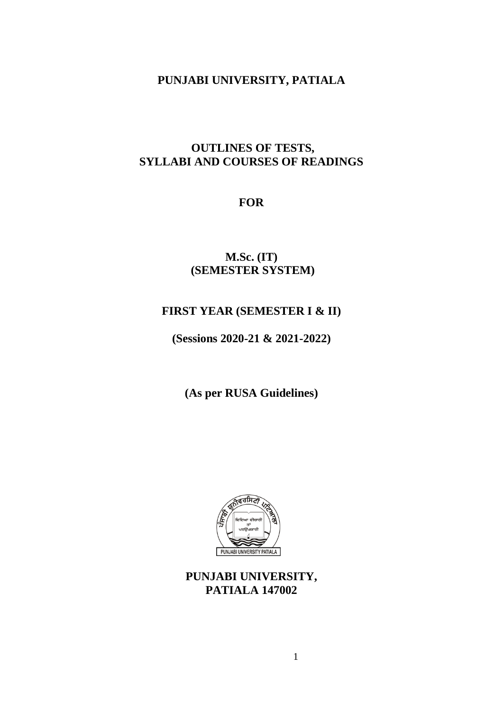# **PUNJABI UNIVERSITY, PATIALA**

# **OUTLINES OF TESTS, SYLLABI AND COURSES OF READINGS**

# **FOR**

# **M.Sc. (IT) (SEMESTER SYSTEM)**

# **FIRST YEAR (SEMESTER I & II)**

**(Sessions 2020-21 & 2021-2022)**

**(As per RUSA Guidelines)**



**PUNJABI UNIVERSITY, PATIALA 147002**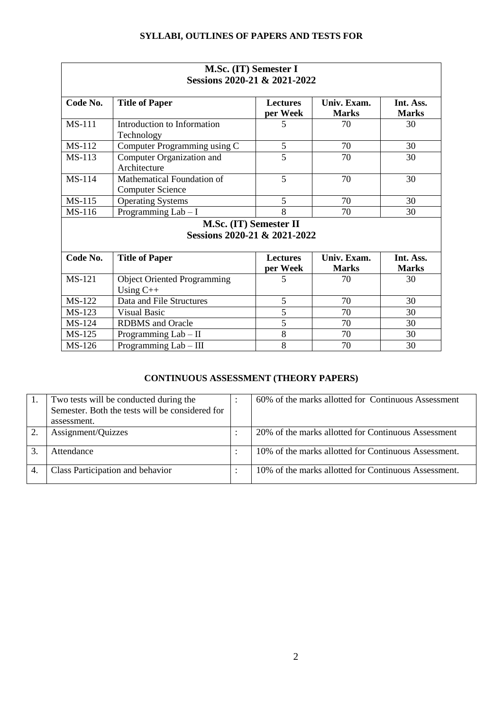| M.Sc. (IT) Semester I<br>Sessions 2020-21 & 2021-2022 |                                    |                 |              |              |  |  |  |
|-------------------------------------------------------|------------------------------------|-----------------|--------------|--------------|--|--|--|
|                                                       |                                    |                 |              |              |  |  |  |
|                                                       |                                    | per Week        | <b>Marks</b> | <b>Marks</b> |  |  |  |
| <b>MS-111</b>                                         | Introduction to Information        | 5               | 70           | 30           |  |  |  |
|                                                       | Technology                         |                 |              |              |  |  |  |
| <b>MS-112</b>                                         | Computer Programming using C       | 5               | 70           | 30           |  |  |  |
| $MS-113$                                              | Computer Organization and          | $\overline{5}$  | 70           | 30           |  |  |  |
|                                                       | Architecture                       |                 |              |              |  |  |  |
| <b>MS-114</b>                                         | Mathematical Foundation of         | 5               | 70           | 30           |  |  |  |
|                                                       | <b>Computer Science</b>            |                 |              |              |  |  |  |
| <b>MS-115</b>                                         | <b>Operating Systems</b>           | 5               | 70           | 30           |  |  |  |
| MS-116                                                | Programming Lab - I                | 8               | 70           | 30           |  |  |  |
| M.Sc. (IT) Semester II                                |                                    |                 |              |              |  |  |  |
| Sessions 2020-21 & 2021-2022                          |                                    |                 |              |              |  |  |  |
|                                                       |                                    |                 |              |              |  |  |  |
| Code No.                                              | <b>Title of Paper</b>              | <b>Lectures</b> | Univ. Exam.  | Int. Ass.    |  |  |  |
|                                                       |                                    | per Week        | <b>Marks</b> | <b>Marks</b> |  |  |  |
| <b>MS-121</b>                                         | <b>Object Oriented Programming</b> | 5               | 70           | 30           |  |  |  |
|                                                       | Using $C++$                        |                 |              |              |  |  |  |
| <b>MS-122</b>                                         | Data and File Structures           | 5               | 70           | 30           |  |  |  |
| MS-123                                                | <b>Visual Basic</b>                | 5               | 70           | 30           |  |  |  |
| <b>MS-124</b>                                         | <b>RDBMS</b> and Oracle            | 5               | 70           | 30           |  |  |  |
| <b>MS-125</b>                                         | Programming $Lab - II$             | 8               | 70           | 30           |  |  |  |

# **CONTINUOUS ASSESSMENT (THEORY PAPERS)**

 $MS-126$  Programming Lab – III 8 70 30

| Two tests will be conducted during the<br>Semester. Both the tests will be considered for<br>assessment. | 60% of the marks allotted for Continuous Assessment  |
|----------------------------------------------------------------------------------------------------------|------------------------------------------------------|
| Assignment/Quizzes                                                                                       | 20% of the marks allotted for Continuous Assessment  |
| Attendance                                                                                               | 10% of the marks allotted for Continuous Assessment. |
| Class Participation and behavior                                                                         | 10% of the marks allotted for Continuous Assessment. |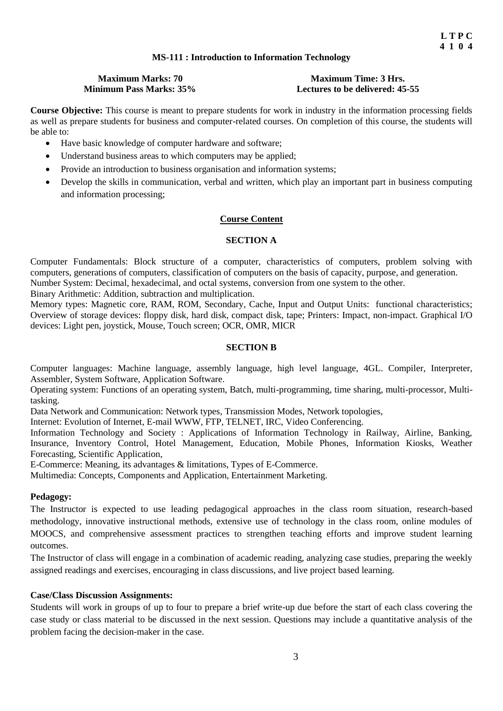# **MS-111 : Introduction to Information Technology**

# **Maximum Marks: 70 Maximum Time: 3 Hrs.**<br>**Minimum Pass Marks: 35% Lectures to be delivered: 45**

Lectures to be delivered: 45-55

**Course Objective:** This course is meant to prepare students for work in industry in the information processing fields as well as prepare students for business and computer-related courses. On completion of this course, the students will be able to:

- Have basic knowledge of computer hardware and software;
- Understand business areas to which computers may be applied;
- Provide an introduction to business organisation and information systems;
- Develop the skills in communication, verbal and written, which play an important part in business computing and information processing;

# **Course Content**

# **SECTION A**

Computer Fundamentals: Block structure of a computer, characteristics of computers, problem solving with computers, generations of computers, classification of computers on the basis of capacity, purpose, and generation. Number System: Decimal, hexadecimal, and octal systems, conversion from one system to the other.

Binary Arithmetic: Addition, subtraction and multiplication.

Memory types: Magnetic core, RAM, ROM, Secondary, Cache, Input and Output Units: functional characteristics; Overview of storage devices: floppy disk, hard disk, compact disk, tape; Printers: Impact, non-impact. Graphical I/O devices: Light pen, joystick, Mouse, Touch screen; OCR, OMR, MICR

# **SECTION B**

Computer languages: Machine language, assembly language, high level language, 4GL. Compiler, Interpreter, Assembler, System Software, Application Software.

Operating system: Functions of an operating system, Batch, multi-programming, time sharing, multi-processor, Multitasking.

Data Network and Communication: Network types, Transmission Modes, Network topologies,

Internet: Evolution of Internet, E-mail WWW, FTP, TELNET, IRC, Video Conferencing.

Information Technology and Society : Applications of Information Technology in Railway, Airline, Banking, Insurance, Inventory Control, Hotel Management, Education, Mobile Phones, Information Kiosks, Weather Forecasting, Scientific Application,

E-Commerce: Meaning, its advantages & limitations, Types of E-Commerce.

Multimedia: Concepts, Components and Application, Entertainment Marketing.

# **Pedagogy:**

The Instructor is expected to use leading pedagogical approaches in the class room situation, research-based methodology, innovative instructional methods, extensive use of technology in the class room, online modules of MOOCS, and comprehensive assessment practices to strengthen teaching efforts and improve student learning outcomes.

The Instructor of class will engage in a combination of academic reading, analyzing case studies, preparing the weekly assigned readings and exercises, encouraging in class discussions, and live project based learning.

# **Case/Class Discussion Assignments:**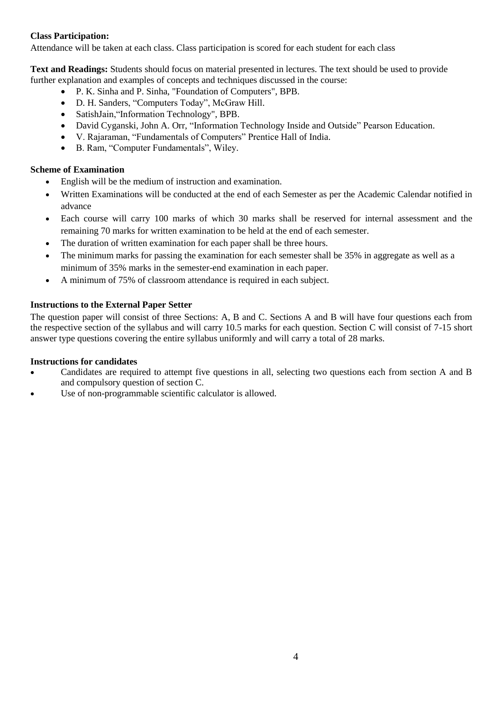Attendance will be taken at each class. Class participation is scored for each student for each class

**Text and Readings:** Students should focus on material presented in lectures. The text should be used to provide further explanation and examples of concepts and techniques discussed in the course:

- P. K. Sinha and P. Sinha, "Foundation of Computers", BPB.
- D. H. Sanders, "Computers Today", McGraw Hill.
- SatishJain, "Information Technology", BPB.
- David Cyganski, John A. Orr, "Information Technology Inside and Outside" Pearson Education.
- V. Rajaraman, "Fundamentals of Computers" Prentice Hall of India.
- B. Ram, "Computer Fundamentals", Wiley.

# **Scheme of Examination**

- English will be the medium of instruction and examination.
- Written Examinations will be conducted at the end of each Semester as per the Academic Calendar notified in advance
- Each course will carry 100 marks of which 30 marks shall be reserved for internal assessment and the remaining 70 marks for written examination to be held at the end of each semester.
- The duration of written examination for each paper shall be three hours.
- The minimum marks for passing the examination for each semester shall be 35% in aggregate as well as a minimum of 35% marks in the semester-end examination in each paper.
- A minimum of 75% of classroom attendance is required in each subject.

# **Instructions to the External Paper Setter**

The question paper will consist of three Sections: A, B and C. Sections A and B will have four questions each from the respective section of the syllabus and will carry 10.5 marks for each question. Section C will consist of 7-15 short answer type questions covering the entire syllabus uniformly and will carry a total of 28 marks.

- Candidates are required to attempt five questions in all, selecting two questions each from section A and B and compulsory question of section C.
- Use of non-programmable scientific calculator is allowed.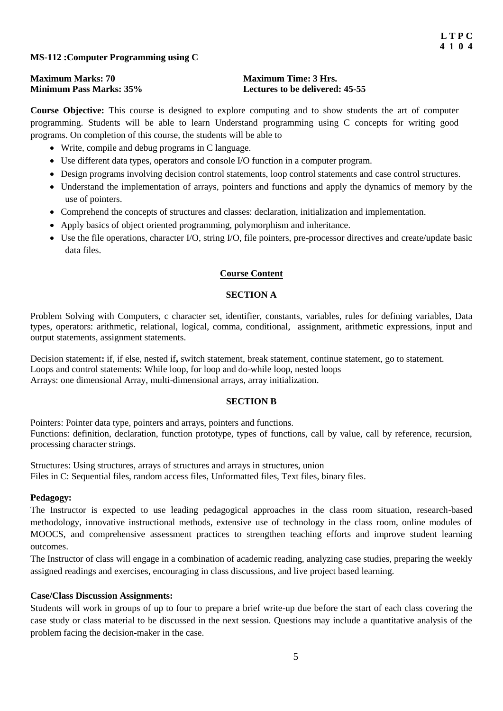# **MS-112 :Computer Programming using C**

| <b>Maximum Marks: 70</b>       | <b>Maximum Time: 3 Hrs.</b>            |
|--------------------------------|----------------------------------------|
| <b>Minimum Pass Marks: 35%</b> | <b>Lectures to be delivered: 45-55</b> |

**Course Objective:** This course is designed to explore computing and to show students the art of computer programming. Students will be able to learn Understand programming using C concepts for writing good programs. On completion of this course, the students will be able to

- Write, compile and debug programs in C language.
- Use different data types, operators and console I/O function in a computer program.
- Design programs involving decision control statements, loop control statements and case control structures.
- Understand the implementation of arrays, pointers and functions and apply the dynamics of memory by the use of pointers.
- Comprehend the concepts of structures and classes: declaration, initialization and implementation.
- Apply basics of object oriented programming, polymorphism and inheritance.
- Use the file operations, character I/O, string I/O, file pointers, pre-processor directives and create/update basic data files.

# **Course Content**

# **SECTION A**

Problem Solving with Computers, c character set, identifier, constants, variables, rules for defining variables, Data types, operators: arithmetic, relational, logical, comma, conditional, assignment, arithmetic expressions, input and output statements, assignment statements.

Decision statement**:** if, if else, nested if**,** switch statement, break statement, continue statement, go to statement. Loops and control statements: While loop, for loop and do-while loop, nested loops Arrays: one dimensional Array, multi-dimensional arrays, array initialization.

# **SECTION B**

Pointers: Pointer data type, pointers and arrays, pointers and functions. Functions: definition, declaration, function prototype, types of functions, call by value, call by reference, recursion, processing character strings.

Structures: Using structures, arrays of structures and arrays in structures, union Files in C: Sequential files, random access files, Unformatted files, Text files, binary files.

# **Pedagogy:**

The Instructor is expected to use leading pedagogical approaches in the class room situation, research-based methodology, innovative instructional methods, extensive use of technology in the class room, online modules of MOOCS, and comprehensive assessment practices to strengthen teaching efforts and improve student learning outcomes.

The Instructor of class will engage in a combination of academic reading, analyzing case studies, preparing the weekly assigned readings and exercises, encouraging in class discussions, and live project based learning.

# **Case/Class Discussion Assignments:**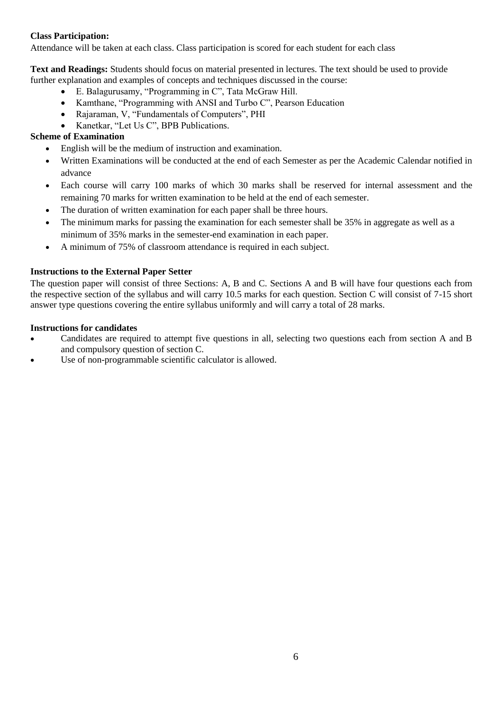Attendance will be taken at each class. Class participation is scored for each student for each class

**Text and Readings:** Students should focus on material presented in lectures. The text should be used to provide further explanation and examples of concepts and techniques discussed in the course:

- E. Balagurusamy, "Programming in C", Tata McGraw Hill.
- Kamthane, "Programming with ANSI and Turbo C", Pearson Education
- Rajaraman, V, "Fundamentals of Computers", PHI
- Kanetkar, "Let Us C", BPB Publications.

# **Scheme of Examination**

- English will be the medium of instruction and examination.
- Written Examinations will be conducted at the end of each Semester as per the Academic Calendar notified in advance
- Each course will carry 100 marks of which 30 marks shall be reserved for internal assessment and the remaining 70 marks for written examination to be held at the end of each semester.
- The duration of written examination for each paper shall be three hours.
- The minimum marks for passing the examination for each semester shall be 35% in aggregate as well as a minimum of 35% marks in the semester-end examination in each paper.
- A minimum of 75% of classroom attendance is required in each subject.

# **Instructions to the External Paper Setter**

The question paper will consist of three Sections: A, B and C. Sections A and B will have four questions each from the respective section of the syllabus and will carry 10.5 marks for each question. Section C will consist of 7-15 short answer type questions covering the entire syllabus uniformly and will carry a total of 28 marks.

- Candidates are required to attempt five questions in all, selecting two questions each from section A and B and compulsory question of section C.
- Use of non-programmable scientific calculator is allowed.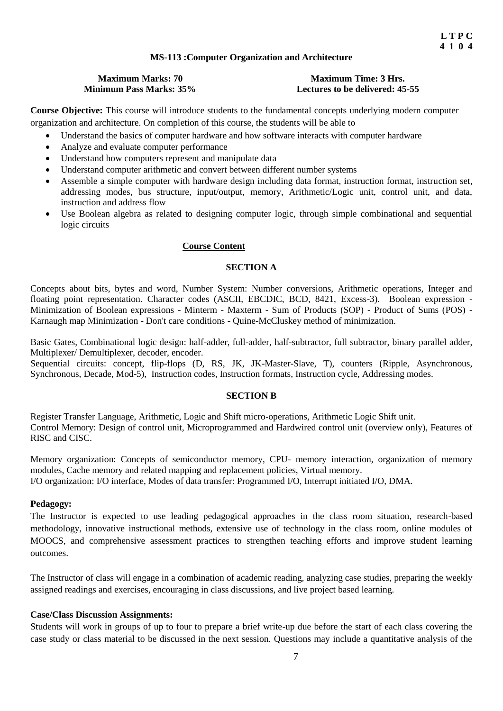### **MS-113 :Computer Organization and Architecture**

# **Maximum Marks: 70 Maximum Time: 3 Hrs.**<br>**Minimum Pass Marks: 35% Lectures to be delivered: 45**

# **Lectures to be delivered: 45-55**

**Course Objective:** This course will introduce students to the fundamental concepts underlying modern computer organization and architecture. On completion of this course, the students will be able to

- Understand the basics of computer hardware and how software interacts with computer hardware
- Analyze and evaluate computer performance
- Understand how computers represent and manipulate data
- Understand computer arithmetic and convert between different number systems
- Assemble a simple computer with hardware design including data format, instruction format, instruction set, addressing modes, bus structure, input/output, memory, Arithmetic/Logic unit, control unit, and data, instruction and address flow
- Use Boolean algebra as related to designing computer logic, through simple combinational and sequential logic circuits

#### **Course Content**

# **SECTION A**

Concepts about bits, bytes and word, Number System: Number conversions, Arithmetic operations, Integer and floating point representation. Character codes (ASCII, EBCDIC, BCD, 8421, Excess-3). Boolean expression -Minimization of Boolean expressions - Minterm - Maxterm - Sum of Products (SOP) - Product of Sums (POS) - Karnaugh map Minimization - Don't care conditions - Quine-McCluskey method of minimization.

Basic Gates, Combinational logic design: half-adder, full-adder, half-subtractor, full subtractor, binary parallel adder, Multiplexer/ Demultiplexer, decoder, encoder.

Sequential circuits: concept, flip-flops (D, RS, JK, JK-Master-Slave, T), counters (Ripple, Asynchronous, Synchronous, Decade, Mod-5), Instruction codes, Instruction formats, Instruction cycle, Addressing modes.

### **SECTION B**

Register Transfer Language, Arithmetic, Logic and Shift micro-operations, Arithmetic Logic Shift unit. Control Memory: Design of control unit, Microprogrammed and Hardwired control unit (overview only), Features of RISC and CISC.

Memory organization: Concepts of semiconductor memory, CPU- memory interaction, organization of memory modules, Cache memory and related mapping and replacement policies, Virtual memory. I/O organization: I/O interface, Modes of data transfer: Programmed I/O, Interrupt initiated I/O, DMA.

#### **Pedagogy:**

The Instructor is expected to use leading pedagogical approaches in the class room situation, research-based methodology, innovative instructional methods, extensive use of technology in the class room, online modules of MOOCS, and comprehensive assessment practices to strengthen teaching efforts and improve student learning outcomes.

The Instructor of class will engage in a combination of academic reading, analyzing case studies, preparing the weekly assigned readings and exercises, encouraging in class discussions, and live project based learning.

### **Case/Class Discussion Assignments:**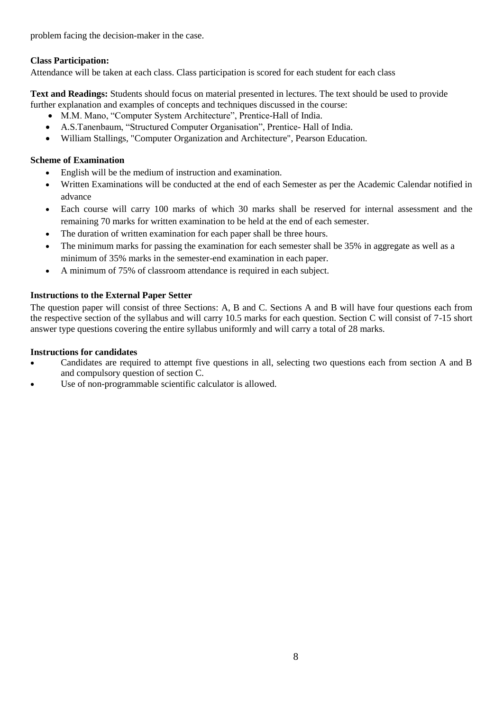problem facing the decision-maker in the case.

# **Class Participation:**

Attendance will be taken at each class. Class participation is scored for each student for each class

**Text and Readings:** Students should focus on material presented in lectures. The text should be used to provide further explanation and examples of concepts and techniques discussed in the course:

- M.M. Mano, "Computer System Architecture", Prentice-Hall of India.
- A.S.Tanenbaum, "Structured Computer Organisation", Prentice- Hall of India.
- William Stallings, "Computer Organization and Architecture", Pearson Education.

# **Scheme of Examination**

- English will be the medium of instruction and examination.
- Written Examinations will be conducted at the end of each Semester as per the Academic Calendar notified in advance
- Each course will carry 100 marks of which 30 marks shall be reserved for internal assessment and the remaining 70 marks for written examination to be held at the end of each semester.
- The duration of written examination for each paper shall be three hours.
- The minimum marks for passing the examination for each semester shall be 35% in aggregate as well as a minimum of 35% marks in the semester-end examination in each paper.
- A minimum of 75% of classroom attendance is required in each subject.

# **Instructions to the External Paper Setter**

The question paper will consist of three Sections: A, B and C. Sections A and B will have four questions each from the respective section of the syllabus and will carry 10.5 marks for each question. Section C will consist of 7-15 short answer type questions covering the entire syllabus uniformly and will carry a total of 28 marks.

- Candidates are required to attempt five questions in all, selecting two questions each from section A and B and compulsory question of section C.
- Use of non-programmable scientific calculator is allowed.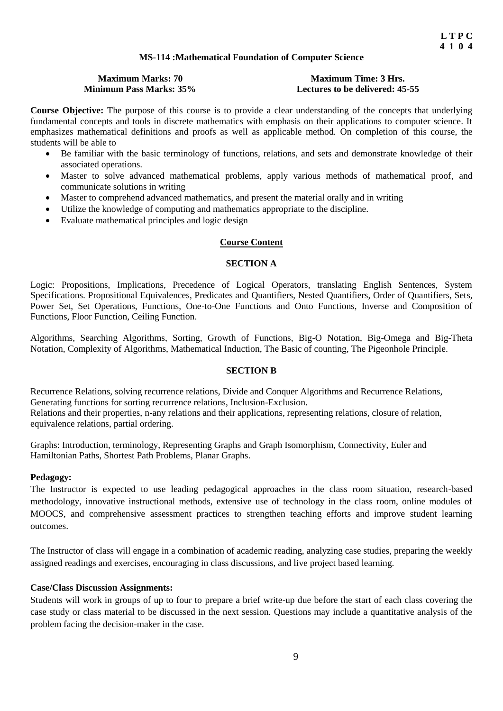# **MS-114 :Mathematical Foundation of Computer Science**

# **Maximum Marks: 70 Maximum Time: 3 Hrs.**<br>**Minimum Pass Marks: 35% Lectures to be delivered: 45**

# Lectures to be delivered: 45-55

**Course Objective:** The purpose of this course is to provide a clear understanding of the concepts that underlying fundamental concepts and tools in discrete mathematics with emphasis on their applications to computer science. It emphasizes mathematical definitions and proofs as well as applicable method. On completion of this course, the students will be able to

- Be familiar with the basic terminology of functions, relations, and sets and demonstrate knowledge of their associated operations.
- Master to solve advanced mathematical problems, apply various methods of mathematical proof, and communicate solutions in writing
- Master to comprehend advanced mathematics, and present the material orally and in writing
- Utilize the knowledge of computing and mathematics appropriate to the discipline.
- Evaluate mathematical principles and logic design

# **Course Content**

#### **SECTION A**

Logic: Propositions, Implications, Precedence of Logical Operators, translating English Sentences, System Specifications. Propositional Equivalences, Predicates and Quantifiers, Nested Quantifiers, Order of Quantifiers, Sets, Power Set, Set Operations, Functions, One-to-One Functions and Onto Functions, Inverse and Composition of Functions, Floor Function, Ceiling Function.

Algorithms, Searching Algorithms, Sorting, Growth of Functions, Big-O Notation, Big-Omega and Big-Theta Notation, Complexity of Algorithms, Mathematical Induction, The Basic of counting, The Pigeonhole Principle.

#### **SECTION B**

Recurrence Relations, solving recurrence relations, Divide and Conquer Algorithms and Recurrence Relations, Generating functions for sorting recurrence relations, Inclusion-Exclusion. Relations and their properties, n-any relations and their applications, representing relations, closure of relation, equivalence relations, partial ordering.

Graphs: Introduction, terminology, Representing Graphs and Graph Isomorphism, Connectivity, Euler and Hamiltonian Paths, Shortest Path Problems, Planar Graphs.

#### **Pedagogy:**

The Instructor is expected to use leading pedagogical approaches in the class room situation, research-based methodology, innovative instructional methods, extensive use of technology in the class room, online modules of MOOCS, and comprehensive assessment practices to strengthen teaching efforts and improve student learning outcomes.

The Instructor of class will engage in a combination of academic reading, analyzing case studies, preparing the weekly assigned readings and exercises, encouraging in class discussions, and live project based learning.

# **Case/Class Discussion Assignments:**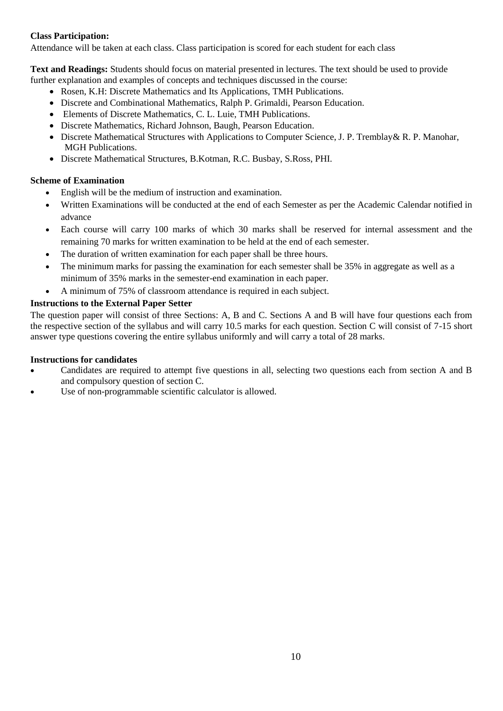Attendance will be taken at each class. Class participation is scored for each student for each class

**Text and Readings:** Students should focus on material presented in lectures. The text should be used to provide further explanation and examples of concepts and techniques discussed in the course:

- Rosen, K.H: Discrete Mathematics and Its Applications, TMH Publications.
- Discrete and Combinational Mathematics, Ralph P. Grimaldi, Pearson Education.
- Elements of Discrete Mathematics, C. L. Luie, TMH Publications.
- Discrete Mathematics, Richard Johnson, Baugh, Pearson Education.
- Discrete Mathematical Structures with Applications to Computer Science, J. P. Tremblay& R. P. Manohar, MGH Publications.
- Discrete Mathematical Structures, B.Kotman, R.C. Busbay, S.Ross, PHI.

# **Scheme of Examination**

- English will be the medium of instruction and examination.
- Written Examinations will be conducted at the end of each Semester as per the Academic Calendar notified in advance
- Each course will carry 100 marks of which 30 marks shall be reserved for internal assessment and the remaining 70 marks for written examination to be held at the end of each semester.
- The duration of written examination for each paper shall be three hours.
- The minimum marks for passing the examination for each semester shall be 35% in aggregate as well as a minimum of 35% marks in the semester-end examination in each paper.
- A minimum of 75% of classroom attendance is required in each subject.

# **Instructions to the External Paper Setter**

The question paper will consist of three Sections: A, B and C. Sections A and B will have four questions each from the respective section of the syllabus and will carry 10.5 marks for each question. Section C will consist of 7-15 short answer type questions covering the entire syllabus uniformly and will carry a total of 28 marks.

- Candidates are required to attempt five questions in all, selecting two questions each from section A and B and compulsory question of section C.
- Use of non-programmable scientific calculator is allowed.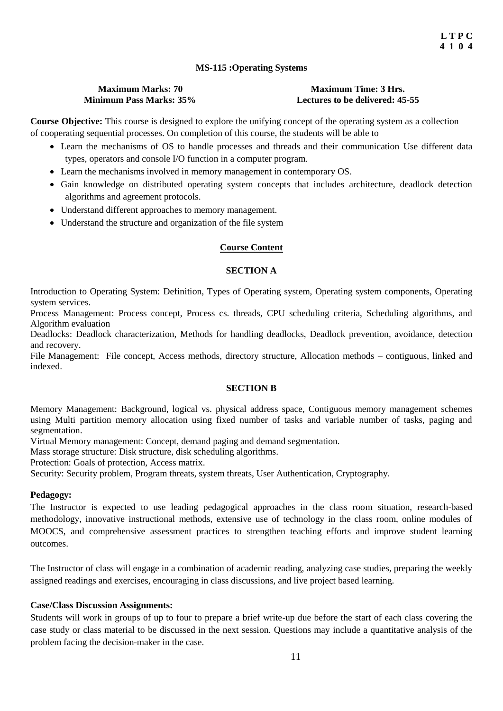# **MS-115 :Operating Systems**

#### **Maximum Marks: 70 Maximum Time: 3 Hrs. Minimum Pass Marks: 35% Lectures to be delivered: 45-55**

**Course Objective:** This course is designed to explore the unifying concept of the operating system as a collection of cooperating sequential processes. On completion of this course, the students will be able to

- Learn the mechanisms of OS to handle processes and threads and their communication Use different data types, operators and console I/O function in a computer program.
- Learn the mechanisms involved in memory management in contemporary OS.
- Gain knowledge on distributed operating system concepts that includes architecture, deadlock detection algorithms and agreement protocols.
- Understand different approaches to memory management.
- Understand the structure and organization of the file system

# **Course Content**

# **SECTION A**

Introduction to Operating System: Definition, Types of Operating system, Operating system components, Operating system services.

Process Management: Process concept, Process cs. threads, CPU scheduling criteria, Scheduling algorithms, and Algorithm evaluation

Deadlocks: Deadlock characterization, Methods for handling deadlocks, Deadlock prevention, avoidance, detection and recovery.

File Management: File concept, Access methods, directory structure, Allocation methods – contiguous, linked and indexed.

# **SECTION B**

Memory Management: Background, logical vs. physical address space, Contiguous memory management schemes using Multi partition memory allocation using fixed number of tasks and variable number of tasks, paging and segmentation.

Virtual Memory management: Concept, demand paging and demand segmentation.

Mass storage structure: Disk structure, disk scheduling algorithms.

Protection: Goals of protection, Access matrix.

Security: Security problem, Program threats, system threats, User Authentication, Cryptography.

# **Pedagogy:**

The Instructor is expected to use leading pedagogical approaches in the class room situation, research-based methodology, innovative instructional methods, extensive use of technology in the class room, online modules of MOOCS, and comprehensive assessment practices to strengthen teaching efforts and improve student learning outcomes.

The Instructor of class will engage in a combination of academic reading, analyzing case studies, preparing the weekly assigned readings and exercises, encouraging in class discussions, and live project based learning.

# **Case/Class Discussion Assignments:**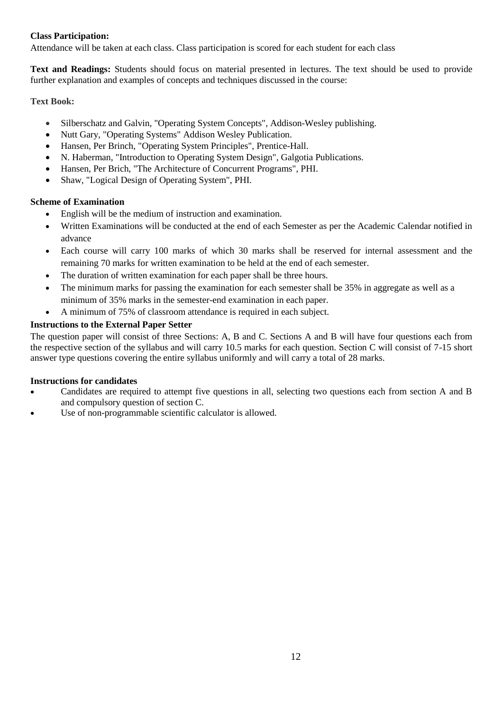Attendance will be taken at each class. Class participation is scored for each student for each class

**Text and Readings:** Students should focus on material presented in lectures. The text should be used to provide further explanation and examples of concepts and techniques discussed in the course:

# **Text Book:**

- Silberschatz and Galvin, "Operating System Concepts", Addison-Wesley publishing.
- Nutt Gary, "Operating Systems" Addison Wesley Publication.
- Hansen, Per Brinch, "Operating System Principles", Prentice-Hall.
- N. Haberman, "Introduction to Operating System Design", Galgotia Publications.
- Hansen, Per Brich, "The Architecture of Concurrent Programs", PHI.
- Shaw, "Logical Design of Operating System", PHI.

# **Scheme of Examination**

- English will be the medium of instruction and examination.
- Written Examinations will be conducted at the end of each Semester as per the Academic Calendar notified in advance
- Each course will carry 100 marks of which 30 marks shall be reserved for internal assessment and the remaining 70 marks for written examination to be held at the end of each semester.
- The duration of written examination for each paper shall be three hours.
- The minimum marks for passing the examination for each semester shall be 35% in aggregate as well as a minimum of 35% marks in the semester-end examination in each paper.
- A minimum of 75% of classroom attendance is required in each subject.

# **Instructions to the External Paper Setter**

The question paper will consist of three Sections: A, B and C. Sections A and B will have four questions each from the respective section of the syllabus and will carry 10.5 marks for each question. Section C will consist of 7-15 short answer type questions covering the entire syllabus uniformly and will carry a total of 28 marks.

- Candidates are required to attempt five questions in all, selecting two questions each from section A and B and compulsory question of section C.
- Use of non-programmable scientific calculator is allowed.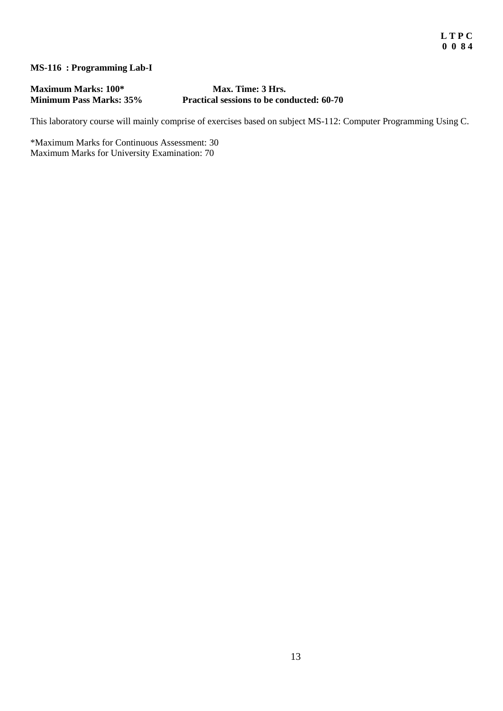# **MS-116 : Programming Lab-I**

**Maximum Marks: 100\* Max. Time: 3 Hrs.**<br>**Minimum Pass Marks: 35%** Practical sessions to be con

# Practical sessions to be conducted: 60-70

This laboratory course will mainly comprise of exercises based on subject MS-112: Computer Programming Using C.

\*Maximum Marks for Continuous Assessment: 30 Maximum Marks for University Examination: 70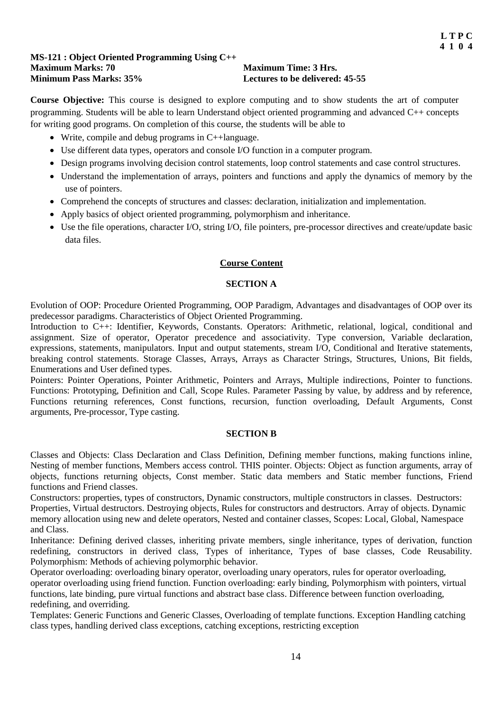#### **MS-121 : Object Oriented Programming Using C++ Maximum Marks: 70 Maximum Time: 3 Hrs.**<br> **Minimum Pass Marks: 35% Lectures to be delivered** Lectures to be delivered: 45-55

**Course Objective:** This course is designed to explore computing and to show students the art of computer programming. Students will be able to learn Understand object oriented programming and advanced C++ concepts for writing good programs. On completion of this course, the students will be able to

- Write, compile and debug programs in C++language.
- Use different data types, operators and console I/O function in a computer program.
- Design programs involving decision control statements, loop control statements and case control structures.
- Understand the implementation of arrays, pointers and functions and apply the dynamics of memory by the use of pointers.
- Comprehend the concepts of structures and classes: declaration, initialization and implementation.
- Apply basics of object oriented programming, polymorphism and inheritance.
- Use the file operations, character I/O, string I/O, file pointers, pre-processor directives and create/update basic data files.

# **Course Content**

# **SECTION A**

Evolution of OOP: Procedure Oriented Programming, OOP Paradigm, Advantages and disadvantages of OOP over its predecessor paradigms. Characteristics of Object Oriented Programming.

Introduction to C++: Identifier, Keywords, Constants. Operators: Arithmetic, relational, logical, conditional and assignment. Size of operator, Operator precedence and associativity. Type conversion, Variable declaration, expressions, statements, manipulators. Input and output statements, stream I/O, Conditional and Iterative statements, breaking control statements. Storage Classes, Arrays, Arrays as Character Strings, Structures, Unions, Bit fields, Enumerations and User defined types.

Pointers: Pointer Operations, Pointer Arithmetic, Pointers and Arrays, Multiple indirections, Pointer to functions. Functions: Prototyping, Definition and Call, Scope Rules. Parameter Passing by value, by address and by reference, Functions returning references, Const functions, recursion, function overloading, Default Arguments, Const arguments, Pre-processor, Type casting.

#### **SECTION B**

Classes and Objects: Class Declaration and Class Definition, Defining member functions, making functions inline, Nesting of member functions, Members access control. THIS pointer. Objects: Object as function arguments, array of objects, functions returning objects, Const member. Static data members and Static member functions, Friend functions and Friend classes.

Constructors: properties, types of constructors, Dynamic constructors, multiple constructors in classes. Destructors: Properties, Virtual destructors. Destroying objects, Rules for constructors and destructors. Array of objects. Dynamic memory allocation using new and delete operators, Nested and container classes, Scopes: Local, Global, Namespace and Class.

Inheritance: Defining derived classes, inheriting private members, single inheritance, types of derivation, function redefining, constructors in derived class, Types of inheritance, Types of base classes, Code Reusability. Polymorphism: Methods of achieving polymorphic behavior.

Operator overloading: overloading binary operator, overloading unary operators, rules for operator overloading, operator overloading using friend function. Function overloading: early binding, Polymorphism with pointers, virtual functions, late binding, pure virtual functions and abstract base class. Difference between function overloading, redefining, and overriding.

Templates: Generic Functions and Generic Classes, Overloading of template functions. Exception Handling catching class types, handling derived class exceptions, catching exceptions, restricting exception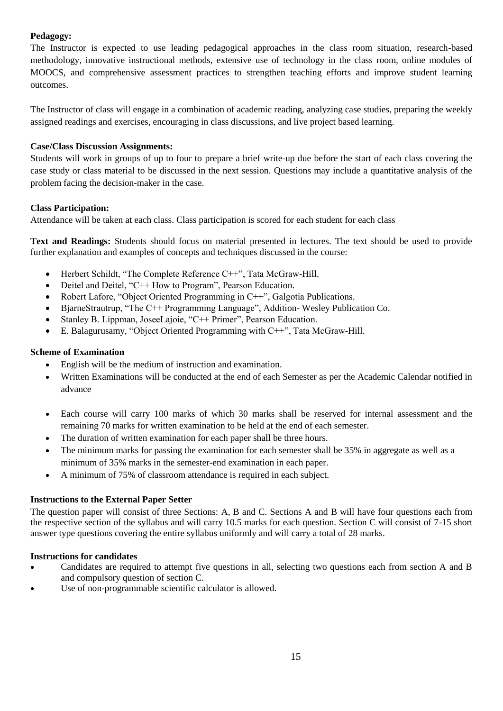# **Pedagogy:**

The Instructor is expected to use leading pedagogical approaches in the class room situation, research-based methodology, innovative instructional methods, extensive use of technology in the class room, online modules of MOOCS, and comprehensive assessment practices to strengthen teaching efforts and improve student learning outcomes.

The Instructor of class will engage in a combination of academic reading, analyzing case studies, preparing the weekly assigned readings and exercises, encouraging in class discussions, and live project based learning.

# **Case/Class Discussion Assignments:**

Students will work in groups of up to four to prepare a brief write-up due before the start of each class covering the case study or class material to be discussed in the next session. Questions may include a quantitative analysis of the problem facing the decision-maker in the case.

# **Class Participation:**

Attendance will be taken at each class. Class participation is scored for each student for each class

**Text and Readings:** Students should focus on material presented in lectures. The text should be used to provide further explanation and examples of concepts and techniques discussed in the course:

- Herbert Schildt, "The Complete Reference C++", Tata McGraw-Hill.
- Deitel and Deitel, "C++ How to Program", Pearson Education.
- Robert Lafore, "Object Oriented Programming in C++", Galgotia Publications.
- BjarneStrautrup, "The C++ Programming Language", Addition- Wesley Publication Co.
- Stanley B. Lippman, JoseeLajoie, "C++ Primer", Pearson Education.
- E. Balagurusamy, "Object Oriented Programming with C++", Tata McGraw-Hill.

# **Scheme of Examination**

- English will be the medium of instruction and examination.
- Written Examinations will be conducted at the end of each Semester as per the Academic Calendar notified in advance
- Each course will carry 100 marks of which 30 marks shall be reserved for internal assessment and the remaining 70 marks for written examination to be held at the end of each semester.
- The duration of written examination for each paper shall be three hours.
- The minimum marks for passing the examination for each semester shall be 35% in aggregate as well as a minimum of 35% marks in the semester-end examination in each paper.
- A minimum of 75% of classroom attendance is required in each subject.

# **Instructions to the External Paper Setter**

The question paper will consist of three Sections: A, B and C. Sections A and B will have four questions each from the respective section of the syllabus and will carry 10.5 marks for each question. Section C will consist of 7-15 short answer type questions covering the entire syllabus uniformly and will carry a total of 28 marks.

- Candidates are required to attempt five questions in all, selecting two questions each from section A and B and compulsory question of section C.
- Use of non-programmable scientific calculator is allowed.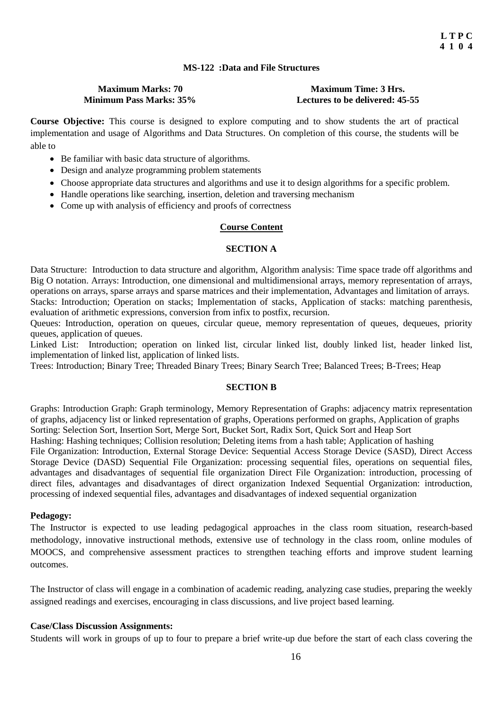# **MS-122 :Data and File Structures**

# **Maximum Marks: 70 Maximum Time: 3 Hrs.**

**Minimum Pass Marks: 35% Lectures to be delivered: 45-55**

**Course Objective:** This course is designed to explore computing and to show students the art of practical implementation and usage of Algorithms and Data Structures. On completion of this course, the students will be able to

- Be familiar with basic data structure of algorithms.
- Design and analyze programming problem statements
- Choose appropriate data structures and algorithms and use it to design algorithms for a specific problem.
- Handle operations like searching, insertion, deletion and traversing mechanism
- Come up with analysis of efficiency and proofs of correctness

#### **Course Content**

#### **SECTION A**

Data Structure: Introduction to data structure and algorithm, Algorithm analysis: Time space trade off algorithms and Big O notation. Arrays: Introduction, one dimensional and multidimensional arrays, memory representation of arrays, operations on arrays, sparse arrays and sparse matrices and their implementation, Advantages and limitation of arrays. Stacks: Introduction; Operation on stacks; Implementation of stacks, Application of stacks: matching parenthesis, evaluation of arithmetic expressions, conversion from infix to postfix, recursion.

Queues: Introduction, operation on queues, circular queue, memory representation of queues, dequeues, priority queues, application of queues.

Linked List: Introduction; operation on linked list, circular linked list, doubly linked list, header linked list, implementation of linked list, application of linked lists.

Trees: Introduction; Binary Tree; Threaded Binary Trees; Binary Search Tree; Balanced Trees; B-Trees; Heap

#### **SECTION B**

Graphs: Introduction Graph: Graph terminology, Memory Representation of Graphs: adjacency matrix representation of graphs, adjacency list or linked representation of graphs, Operations performed on graphs, Application of graphs Sorting: Selection Sort, Insertion Sort, Merge Sort, Bucket Sort, Radix Sort, Quick Sort and Heap Sort Hashing: Hashing techniques; Collision resolution; Deleting items from a hash table; Application of hashing File Organization: Introduction, External Storage Device: Sequential Access Storage Device (SASD), Direct Access Storage Device (DASD) Sequential File Organization: processing sequential files, operations on sequential files, advantages and disadvantages of sequential file organization Direct File Organization: introduction, processing of direct files, advantages and disadvantages of direct organization Indexed Sequential Organization: introduction, processing of indexed sequential files, advantages and disadvantages of indexed sequential organization

#### **Pedagogy:**

The Instructor is expected to use leading pedagogical approaches in the class room situation, research-based methodology, innovative instructional methods, extensive use of technology in the class room, online modules of MOOCS, and comprehensive assessment practices to strengthen teaching efforts and improve student learning outcomes.

The Instructor of class will engage in a combination of academic reading, analyzing case studies, preparing the weekly assigned readings and exercises, encouraging in class discussions, and live project based learning.

# **Case/Class Discussion Assignments:**

Students will work in groups of up to four to prepare a brief write-up due before the start of each class covering the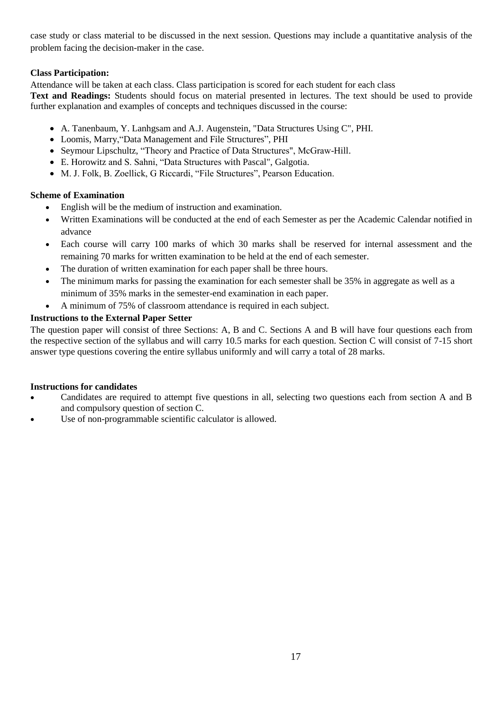case study or class material to be discussed in the next session. Questions may include a quantitative analysis of the problem facing the decision-maker in the case.

# **Class Participation:**

Attendance will be taken at each class. Class participation is scored for each student for each class

**Text and Readings:** Students should focus on material presented in lectures. The text should be used to provide further explanation and examples of concepts and techniques discussed in the course:

- A. Tanenbaum, Y. Lanhgsam and A.J. Augenstein, "Data Structures Using C", PHI.
- Loomis, Marry,"Data Management and File Structures", PHI
- Seymour Lipschultz, "Theory and Practice of Data Structures", McGraw-Hill.
- E. Horowitz and S. Sahni, "Data Structures with Pascal", Galgotia.
- M. J. Folk, B. Zoellick, G Riccardi, "File Structures", Pearson Education.

# **Scheme of Examination**

- English will be the medium of instruction and examination.
- Written Examinations will be conducted at the end of each Semester as per the Academic Calendar notified in advance
- Each course will carry 100 marks of which 30 marks shall be reserved for internal assessment and the remaining 70 marks for written examination to be held at the end of each semester.
- The duration of written examination for each paper shall be three hours.
- The minimum marks for passing the examination for each semester shall be 35% in aggregate as well as a minimum of 35% marks in the semester-end examination in each paper.
- A minimum of 75% of classroom attendance is required in each subject.

# **Instructions to the External Paper Setter**

The question paper will consist of three Sections: A, B and C. Sections A and B will have four questions each from the respective section of the syllabus and will carry 10.5 marks for each question. Section C will consist of 7-15 short answer type questions covering the entire syllabus uniformly and will carry a total of 28 marks.

- Candidates are required to attempt five questions in all, selecting two questions each from section A and B and compulsory question of section C.
- Use of non-programmable scientific calculator is allowed.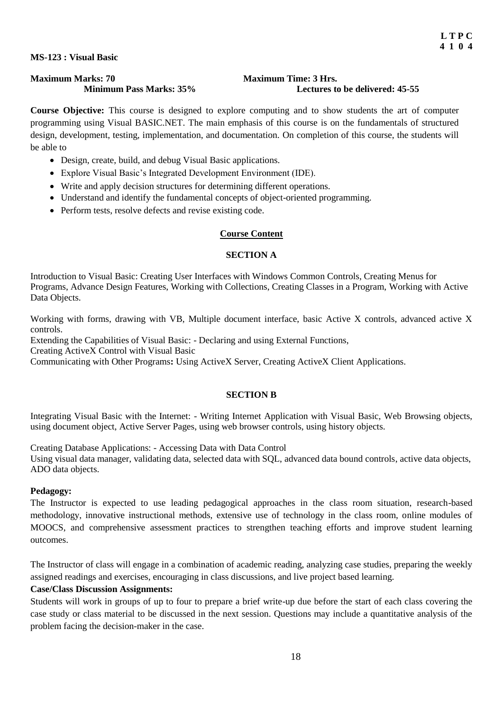#### **MS-123 : Visual Basic**

# **Maximum Marks: 70**<br>**Minimum Pass Marks: 35%** Maximum Time: 3 Hrs.<br>Lectures to

# Lectures to be delivered: 45-55

**Course Objective:** This course is designed to explore computing and to show students the art of computer programming using Visual BASIC.NET. The main emphasis of this course is on the fundamentals of structured design, development, testing, implementation, and documentation. On completion of this course, the students will be able to

- Design, create, build, and debug Visual Basic applications.
- Explore Visual Basic's Integrated Development Environment (IDE).
- Write and apply decision structures for determining different operations.
- Understand and identify the fundamental concepts of object-oriented programming.
- Perform tests, resolve defects and revise existing code.

# **Course Content**

# **SECTION A**

Introduction to Visual Basic: Creating User Interfaces with Windows Common Controls, Creating Menus for Programs, Advance Design Features, Working with Collections, Creating Classes in a Program, Working with Active Data Objects.

Working with forms, drawing with VB, Multiple document interface, basic Active X controls, advanced active X controls.

Extending the Capabilities of Visual Basic: - Declaring and using External Functions,

Creating ActiveX Control with Visual Basic

Communicating with Other Programs**:** Using ActiveX Server, Creating ActiveX Client Applications.

# **SECTION B**

Integrating Visual Basic with the Internet: - Writing Internet Application with Visual Basic, Web Browsing objects, using document object, Active Server Pages, using web browser controls, using history objects.

Creating Database Applications: - Accessing Data with Data Control Using visual data manager, validating data, selected data with SQL, advanced data bound controls, active data objects, ADO data objects.

# **Pedagogy:**

The Instructor is expected to use leading pedagogical approaches in the class room situation, research-based methodology, innovative instructional methods, extensive use of technology in the class room, online modules of MOOCS, and comprehensive assessment practices to strengthen teaching efforts and improve student learning outcomes.

The Instructor of class will engage in a combination of academic reading, analyzing case studies, preparing the weekly assigned readings and exercises, encouraging in class discussions, and live project based learning.

# **Case/Class Discussion Assignments:**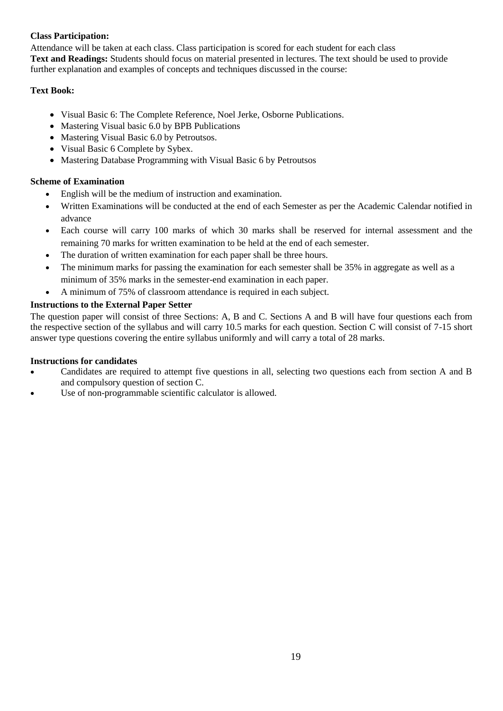Attendance will be taken at each class. Class participation is scored for each student for each class **Text and Readings:** Students should focus on material presented in lectures. The text should be used to provide further explanation and examples of concepts and techniques discussed in the course:

# **Text Book:**

- Visual Basic 6: The Complete Reference, Noel Jerke, Osborne Publications.
- Mastering Visual basic 6.0 by BPB Publications
- Mastering Visual Basic 6.0 by Petroutsos.
- Visual Basic 6 Complete by Sybex.
- Mastering Database Programming with Visual Basic 6 by Petroutsos

# **Scheme of Examination**

- English will be the medium of instruction and examination.
- Written Examinations will be conducted at the end of each Semester as per the Academic Calendar notified in advance
- Each course will carry 100 marks of which 30 marks shall be reserved for internal assessment and the remaining 70 marks for written examination to be held at the end of each semester.
- The duration of written examination for each paper shall be three hours.
- The minimum marks for passing the examination for each semester shall be 35% in aggregate as well as a minimum of 35% marks in the semester-end examination in each paper.
- A minimum of 75% of classroom attendance is required in each subject.

# **Instructions to the External Paper Setter**

The question paper will consist of three Sections: A, B and C. Sections A and B will have four questions each from the respective section of the syllabus and will carry 10.5 marks for each question. Section C will consist of 7-15 short answer type questions covering the entire syllabus uniformly and will carry a total of 28 marks.

- Candidates are required to attempt five questions in all, selecting two questions each from section A and B and compulsory question of section C.
- Use of non-programmable scientific calculator is allowed.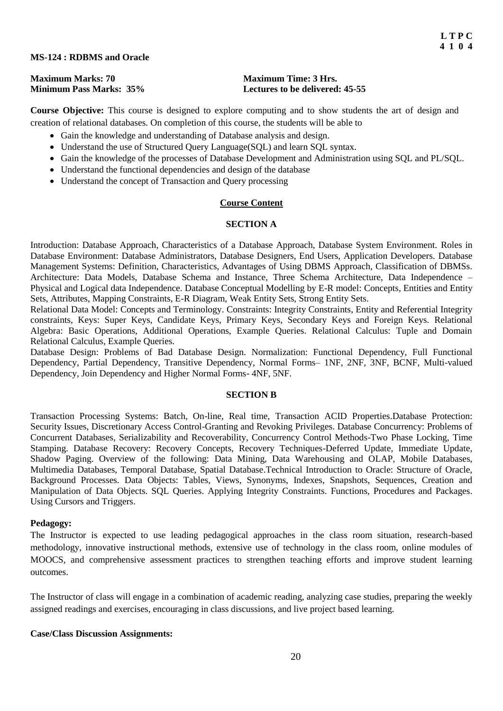#### **MS-124 : RDBMS and Oracle**

| <b>Maximum Marks: 70</b>       |  |  |  |  |  |  |
|--------------------------------|--|--|--|--|--|--|
| <b>Minimum Pass Marks: 35%</b> |  |  |  |  |  |  |

#### **Maximum Time: 3 Hrs.** Lectures to be delivered: 45-55

**Course Objective:** This course is designed to explore computing and to show students the art of design and creation of relational databases. On completion of this course, the students will be able to

- Gain the knowledge and understanding of Database analysis and design.
- Understand the use of Structured Query Language(SQL) and learn SQL syntax.
- Gain the knowledge of the processes of Database Development and Administration using SQL and PL/SQL.
- Understand the functional dependencies and design of the database
- Understand the concept of Transaction and Query processing

#### **Course Content**

#### **SECTION A**

Introduction: Database Approach, Characteristics of a Database Approach, Database System Environment. Roles in Database Environment: Database Administrators, Database Designers, End Users, Application Developers. Database Management Systems: Definition, Characteristics, Advantages of Using DBMS Approach, Classification of DBMSs. Architecture: Data Models, Database Schema and Instance, Three Schema Architecture, Data Independence – Physical and Logical data Independence. Database Conceptual Modelling by E-R model: Concepts, Entities and Entity Sets, Attributes, Mapping Constraints, E-R Diagram, Weak Entity Sets, Strong Entity Sets.

Relational Data Model: Concepts and Terminology. Constraints: Integrity Constraints, Entity and Referential Integrity constraints, Keys: Super Keys, Candidate Keys, Primary Keys, Secondary Keys and Foreign Keys. Relational Algebra: Basic Operations, Additional Operations, Example Queries. Relational Calculus: Tuple and Domain Relational Calculus, Example Queries.

Database Design: Problems of Bad Database Design. Normalization: Functional Dependency, Full Functional Dependency, Partial Dependency, Transitive Dependency, Normal Forms– 1NF, 2NF, 3NF, BCNF, Multi-valued Dependency, Join Dependency and Higher Normal Forms- 4NF, 5NF.

#### **SECTION B**

Transaction Processing Systems: Batch, On-line, Real time, Transaction ACID Properties.Database Protection: Security Issues, Discretionary Access Control-Granting and Revoking Privileges. Database Concurrency: Problems of Concurrent Databases, Serializability and Recoverability, Concurrency Control Methods-Two Phase Locking, Time Stamping. Database Recovery: Recovery Concepts, Recovery Techniques-Deferred Update, Immediate Update, Shadow Paging. Overview of the following: Data Mining, Data Warehousing and OLAP, Mobile Databases, Multimedia Databases, Temporal Database, Spatial Database.Technical Introduction to Oracle: Structure of Oracle, Background Processes. Data Objects: Tables, Views, Synonyms, Indexes, Snapshots, Sequences, Creation and Manipulation of Data Objects. SQL Queries. Applying Integrity Constraints. Functions, Procedures and Packages. Using Cursors and Triggers.

#### **Pedagogy:**

The Instructor is expected to use leading pedagogical approaches in the class room situation, research-based methodology, innovative instructional methods, extensive use of technology in the class room, online modules of MOOCS, and comprehensive assessment practices to strengthen teaching efforts and improve student learning outcomes.

The Instructor of class will engage in a combination of academic reading, analyzing case studies, preparing the weekly assigned readings and exercises, encouraging in class discussions, and live project based learning.

#### **Case/Class Discussion Assignments:**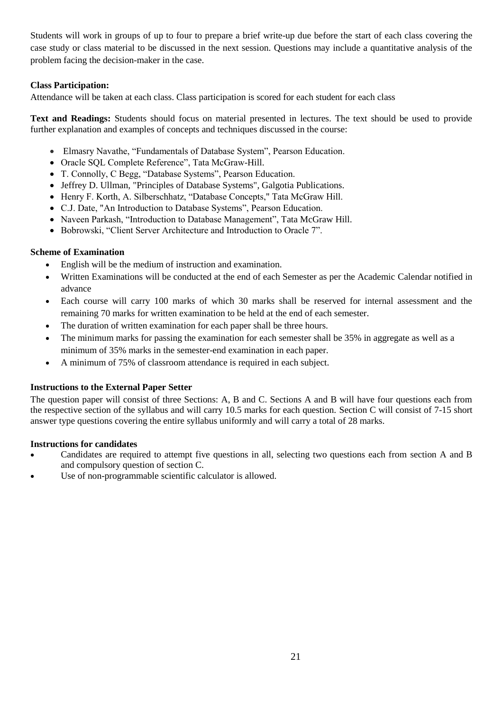Students will work in groups of up to four to prepare a brief write-up due before the start of each class covering the case study or class material to be discussed in the next session. Questions may include a quantitative analysis of the problem facing the decision-maker in the case.

# **Class Participation:**

Attendance will be taken at each class. Class participation is scored for each student for each class

**Text and Readings:** Students should focus on material presented in lectures. The text should be used to provide further explanation and examples of concepts and techniques discussed in the course:

- Elmasry Navathe, "Fundamentals of Database System", Pearson Education.
- Oracle SQL Complete Reference", Tata McGraw-Hill.
- T. Connolly, C Begg, "Database Systems", Pearson Education.
- Jeffrey D. Ullman, "Principles of Database Systems", Galgotia Publications.
- Henry F. Korth, A. Silberschhatz, "Database Concepts," Tata McGraw Hill.
- C.J. Date, "An Introduction to Database Systems", Pearson Education.
- Naveen Parkash, "Introduction to Database Management", Tata McGraw Hill.
- Bobrowski, "Client Server Architecture and Introduction to Oracle 7".

# **Scheme of Examination**

- English will be the medium of instruction and examination.
- Written Examinations will be conducted at the end of each Semester as per the Academic Calendar notified in advance
- Each course will carry 100 marks of which 30 marks shall be reserved for internal assessment and the remaining 70 marks for written examination to be held at the end of each semester.
- The duration of written examination for each paper shall be three hours.
- The minimum marks for passing the examination for each semester shall be 35% in aggregate as well as a minimum of 35% marks in the semester-end examination in each paper.
- A minimum of 75% of classroom attendance is required in each subject.

# **Instructions to the External Paper Setter**

The question paper will consist of three Sections: A, B and C. Sections A and B will have four questions each from the respective section of the syllabus and will carry 10.5 marks for each question. Section C will consist of 7-15 short answer type questions covering the entire syllabus uniformly and will carry a total of 28 marks.

- Candidates are required to attempt five questions in all, selecting two questions each from section A and B and compulsory question of section C.
- Use of non-programmable scientific calculator is allowed.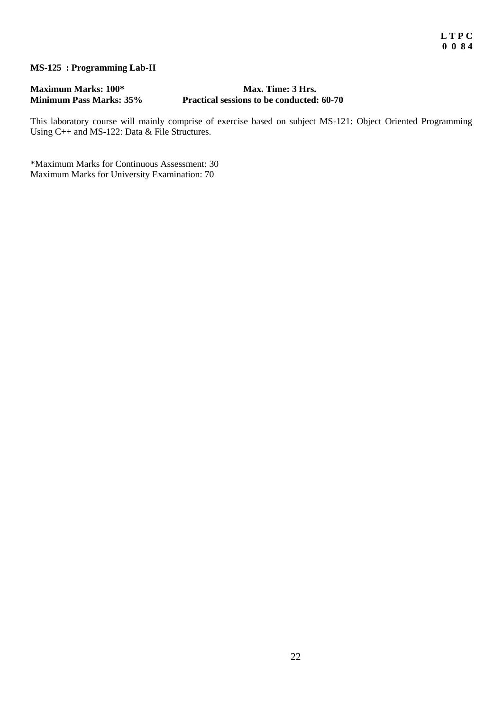# **MS-125 : Programming Lab-II**

# **Maximum Marks: 100\* Max. Time: 3 Hrs. Practical sessions to be conducted:**  $60-70$

This laboratory course will mainly comprise of exercise based on subject MS-121: Object Oriented Programming Using C++ and MS-122: Data & File Structures.

\*Maximum Marks for Continuous Assessment: 30 Maximum Marks for University Examination: 70